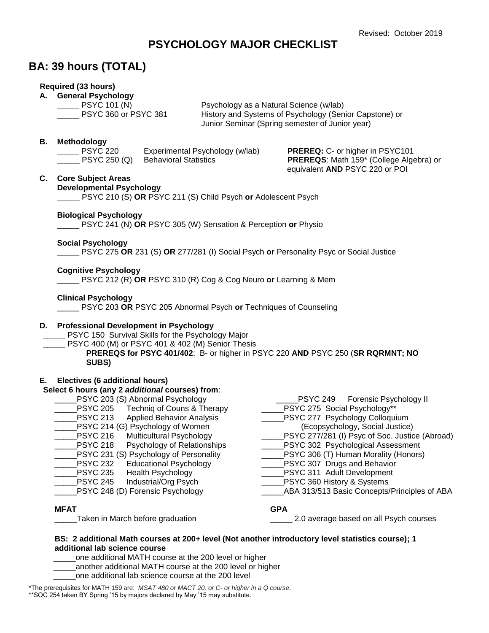# **PSYCHOLOGY MAJOR CHECKLIST**

# **BA: 39 hours (TOTAL)**

### **Required (33 hours)**

### **A. General Psychology**

PSYC 101 (N) Psychology as a Natural Science (w/lab) \_\_\_\_\_ PSYC 360 or PSYC 381 History and Systems of Psychology (Senior Capstone) or Junior Seminar (Spring semester of Junior year)

### **B. Methodology**

\_\_\_\_\_ PSYC 220 Experimental Psychology (w/lab) **PREREQ:** C- or higher in PSYC101 \_\_\_\_\_ PSYC 250 (Q) Behavioral Statistics **PREREQS**: Math 159\* (College Algebra) or equivalent **AND** PSYC 220 or POI

#### **C. Core Subject Areas**

#### **Developmental Psychology**

\_\_\_\_\_ PSYC 210 (S) **OR** PSYC 211 (S) Child Psych **or** Adolescent Psych

**Biological Psychology**

\_\_\_\_\_ PSYC 241 (N) **OR** PSYC 305 (W) Sensation & Perception **or** Physio

#### **Social Psychology**

\_\_\_\_\_ PSYC 275 **OR** 231 (S) **OR** 277/281 (I) Social Psych **or** Personality Psyc or Social Justice

### **Cognitive Psychology**

\_\_\_\_\_ PSYC 212 (R) **OR** PSYC 310 (R) Cog & Cog Neuro **or** Learning & Mem

### **Clinical Psychology**

\_\_\_\_\_ PSYC 203 **OR** PSYC 205 Abnormal Psych **or** Techniques of Counseling

#### **D. Professional Development in Psychology**

PSYC 150 Survival Skills for the Psychology Major

PSYC 400 (M) or PSYC 401 & 402 (M) Senior Thesis

**PREREQS for PSYC 401/402**: B- or higher in PSYC 220 **AND** PSYC 250 (**SR RQRMNT; NO SUBS)**

### **E. Electives (6 additional hours)**

#### **Select 6 hours (any 2** *additional* **courses) from**:

\_\_\_\_\_PSYC 203 (S) Abnormal Psychology Technig of Couns & Therapy PSYC 213 Applied Behavior Analysis \_\_\_\_\_PSYC 214 (G) Psychology of Women PSYC 216 Multicultural Psychology PSYC 218 Psychology of Relationships \_\_\_\_\_PSYC 231 (S) Psychology of Personality PSYC 232 Educational Psychology PSYC 235 Health Psychology \_\_\_\_\_PSYC 245 Industrial/Org Psych PSYC 248 (D) Forensic Psychology PSYC 249 Forensic Psychology II PSYC 275 Social Psychology\*\* PSYC 277 Psychology Colloquium (Ecopsychology, Social Justice) PSYC 277/281 (I) Psyc of Soc. Justice (Abroad) PSYC 302 Psychological Assessment \_\_\_\_\_PSYC 306 (T) Human Morality (Honors) PSYC 307 Drugs and Behavior PSYC 311 Adult Development \_\_\_\_\_PSYC 360 History & Systems ABA 313/513 Basic Concepts/Principles of ABA **MFAT GPA** Taken in March before graduation **Example 2.0** average based on all Psych courses

#### **BS: 2 additional Math courses at 200+ level (Not another introductory level statistics course); 1 additional lab science course**

one additional MATH course at the 200 level or higher

another additional MATH course at the 200 level or higher

one additional lab science course at the 200 level

\*The prerequisites for MATH 159 are: *MSAT 480 or MACT 20, or C- or higher in a Q course*. \*\*SOC 254 taken BY Spring '15 by majors declared by May '15 may substitute.